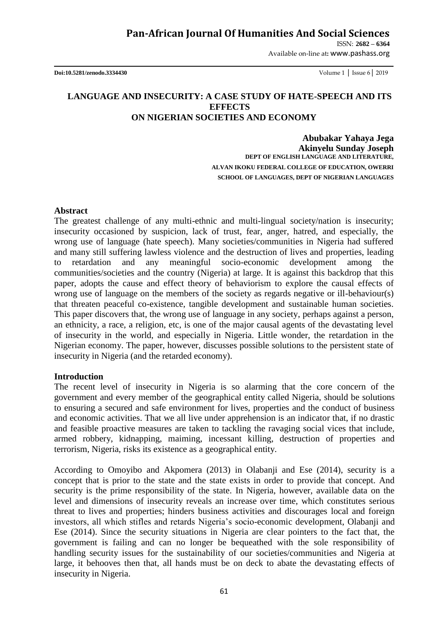ISSN: **2682 – 6364**

Available on-line at**:** www.pashass.org

**Doi:10.5281/zenodo.3334430** Volume 1 │ Issue 6│ 2019

# **LANGUAGE AND INSECURITY: A CASE STUDY OF HATE-SPEECH AND ITS EFFECTS ON NIGERIAN SOCIETIES AND ECONOMY**

**Abubakar Yahaya Jega Akinyelu Sunday Joseph DEPT OF ENGLISH LANGUAGE AND LITERATURE, ALVAN IKOKU FEDERAL COLLEGE OF EDUCATION, OWERRI SCHOOL OF LANGUAGES, DEPT OF NIGERIAN LANGUAGES**

#### **Abstract**

The greatest challenge of any multi-ethnic and multi-lingual society/nation is insecurity; insecurity occasioned by suspicion, lack of trust, fear, anger, hatred, and especially, the wrong use of language (hate speech). Many societies/communities in Nigeria had suffered and many still suffering lawless violence and the destruction of lives and properties, leading to retardation and any meaningful socio-economic development among the communities/societies and the country (Nigeria) at large. It is against this backdrop that this paper, adopts the cause and effect theory of behaviorism to explore the causal effects of wrong use of language on the members of the society as regards negative or ill-behaviour(s) that threaten peaceful co-existence, tangible development and sustainable human societies. This paper discovers that, the wrong use of language in any society, perhaps against a person, an ethnicity, a race, a religion, etc, is one of the major causal agents of the devastating level of insecurity in the world, and especially in Nigeria. Little wonder, the retardation in the Nigerian economy. The paper, however, discusses possible solutions to the persistent state of insecurity in Nigeria (and the retarded economy).

#### **Introduction**

The recent level of insecurity in Nigeria is so alarming that the core concern of the government and every member of the geographical entity called Nigeria, should be solutions to ensuring a secured and safe environment for lives, properties and the conduct of business and economic activities. That we all live under apprehension is an indicator that, if no drastic and feasible proactive measures are taken to tackling the ravaging social vices that include, armed robbery, kidnapping, maiming, incessant killing, destruction of properties and terrorism, Nigeria, risks its existence as a geographical entity.

According to Omoyibo and Akpomera (2013) in Olabanji and Ese (2014), security is a concept that is prior to the state and the state exists in order to provide that concept. And security is the prime responsibility of the state. In Nigeria, however, available data on the level and dimensions of insecurity reveals an increase over time, which constitutes serious threat to lives and properties; hinders business activities and discourages local and foreign investors, all which stifles and retards Nigeria"s socio-economic development, Olabanji and Ese (2014). Since the security situations in Nigeria are clear pointers to the fact that, the government is failing and can no longer be bequeathed with the sole responsibility of handling security issues for the sustainability of our societies/communities and Nigeria at large, it behooves then that, all hands must be on deck to abate the devastating effects of insecurity in Nigeria.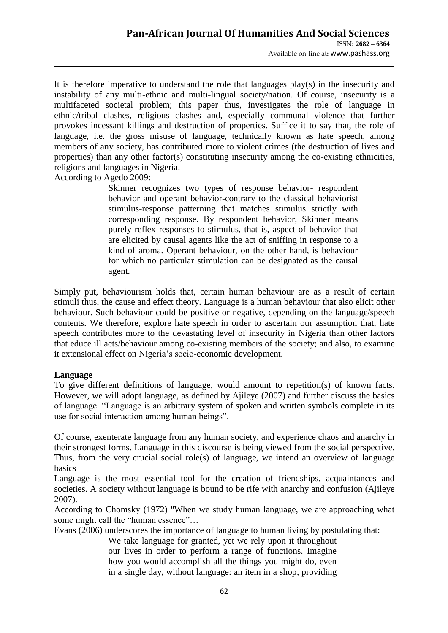It is therefore imperative to understand the role that languages play(s) in the insecurity and instability of any multi-ethnic and multi-lingual society/nation. Of course, insecurity is a multifaceted societal problem; this paper thus, investigates the role of language in ethnic/tribal clashes, religious clashes and, especially communal violence that further provokes incessant killings and destruction of properties. Suffice it to say that, the role of language, i.e. the gross misuse of language, technically known as hate speech, among members of any society, has contributed more to violent crimes (the destruction of lives and properties) than any other factor(s) constituting insecurity among the co-existing ethnicities, religions and languages in Nigeria.

According to Agedo 2009:

Skinner recognizes two types of response behavior- respondent behavior and operant behavior-contrary to the classical behaviorist stimulus-response patterning that matches stimulus strictly with corresponding response. By respondent behavior, Skinner means purely reflex responses to stimulus, that is, aspect of behavior that are elicited by causal agents like the act of sniffing in response to a kind of aroma. Operant behaviour, on the other hand, is behaviour for which no particular stimulation can be designated as the causal agent.

Simply put, behaviourism holds that, certain human behaviour are as a result of certain stimuli thus, the cause and effect theory. Language is a human behaviour that also elicit other behaviour. Such behaviour could be positive or negative, depending on the language/speech contents. We therefore, explore hate speech in order to ascertain our assumption that, hate speech contributes more to the devastating level of insecurity in Nigeria than other factors that educe ill acts/behaviour among co-existing members of the society; and also, to examine it extensional effect on Nigeria"s socio-economic development.

# **Language**

To give different definitions of language, would amount to repetition(s) of known facts. However, we will adopt language, as defined by Ajileye (2007) and further discuss the basics of language. "Language is an arbitrary system of spoken and written symbols complete in its use for social interaction among human beings".

Of course, exenterate language from any human society, and experience chaos and anarchy in their strongest forms. Language in this discourse is being viewed from the social perspective. Thus, from the very crucial social role(s) of language, we intend an overview of language basics

Language is the most essential tool for the creation of friendships, acquaintances and societies. A society without language is bound to be rife with anarchy and confusion (Ajileye 2007).

According to Chomsky (1972) "When we study human language, we are approaching what some might call the "human essence"…

Evans (2006) underscores the importance of language to human living by postulating that:

We take language for granted, yet we rely upon it throughout our lives in order to perform a range of functions. Imagine how you would accomplish all the things you might do, even in a single day, without language: an item in a shop, providing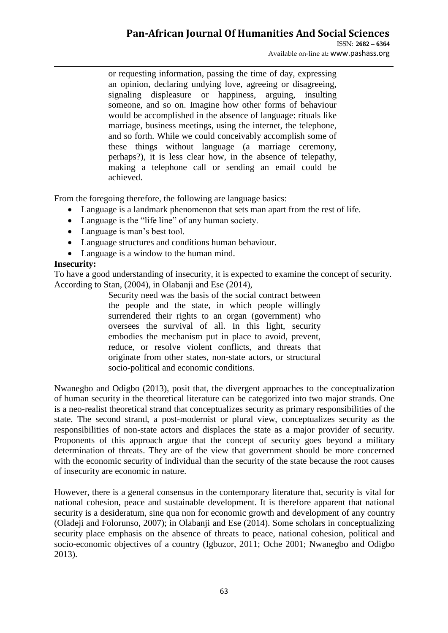# **Pan-African Journal Of Humanities And Social Sciences**

or requesting information, passing the time of day, expressing an opinion, declaring undying love, agreeing or disagreeing, signaling displeasure or happiness, arguing, insulting someone, and so on. Imagine how other forms of behaviour would be accomplished in the absence of language: rituals like marriage, business meetings, using the internet, the telephone, and so forth. While we could conceivably accomplish some of these things without language (a marriage ceremony, perhaps?), it is less clear how, in the absence of telepathy, making a telephone call or sending an email could be achieved.

From the foregoing therefore, the following are language basics:

- Language is a landmark phenomenon that sets man apart from the rest of life.
- Language is the "life line" of any human society.
- Language is man's best tool.
- Language structures and conditions human behaviour.
- Language is a window to the human mind.

## **Insecurity:**

To have a good understanding of insecurity, it is expected to examine the concept of security. According to Stan, (2004), in Olabanji and Ese (2014),

> Security need was the basis of the social contract between the people and the state, in which people willingly surrendered their rights to an organ (government) who oversees the survival of all. In this light, security embodies the mechanism put in place to avoid, prevent, reduce, or resolve violent conflicts, and threats that originate from other states, non-state actors, or structural socio-political and economic conditions.

Nwanegbo and Odigbo (2013), posit that, the divergent approaches to the conceptualization of human security in the theoretical literature can be categorized into two major strands. One is a neo-realist theoretical strand that conceptualizes security as primary responsibilities of the state. The second strand, a post-modernist or plural view, conceptualizes security as the responsibilities of non-state actors and displaces the state as a major provider of security. Proponents of this approach argue that the concept of security goes beyond a military determination of threats. They are of the view that government should be more concerned with the economic security of individual than the security of the state because the root causes of insecurity are economic in nature.

However, there is a general consensus in the contemporary literature that, security is vital for national cohesion, peace and sustainable development. It is therefore apparent that national security is a desideratum, sine qua non for economic growth and development of any country (Oladeji and Folorunso, 2007); in Olabanji and Ese (2014). Some scholars in conceptualizing security place emphasis on the absence of threats to peace, national cohesion, political and socio-economic objectives of a country (Igbuzor, 2011; Oche 2001; Nwanegbo and Odigbo 2013).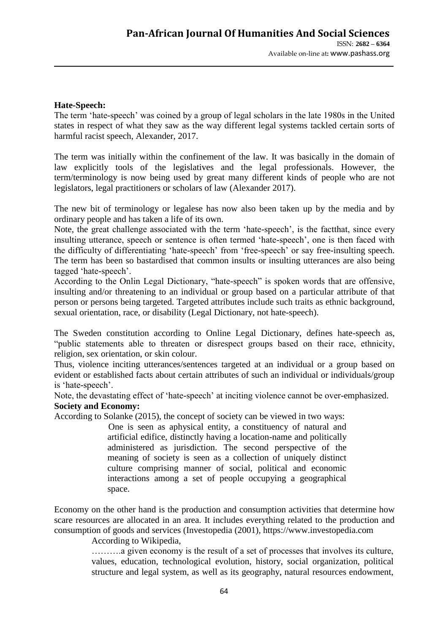#### **Hate-Speech:**

The term "hate-speech" was coined by a group of legal scholars in the late 1980s in the United states in respect of what they saw as the way different legal systems tackled certain sorts of harmful racist speech, Alexander, 2017.

The term was initially within the confinement of the law. It was basically in the domain of law explicitly tools of the legislatives and the legal professionals. However, the term/terminology is now being used by great many different kinds of people who are not legislators, legal practitioners or scholars of law (Alexander 2017).

The new bit of terminology or legalese has now also been taken up by the media and by ordinary people and has taken a life of its own.

Note, the great challenge associated with the term 'hate-speech', is the factthat, since every insulting utterance, speech or sentence is often termed "hate-speech", one is then faced with the difficulty of differentiating "hate-speech" from "free-speech" or say free-insulting speech. The term has been so bastardised that common insults or insulting utterances are also being tagged 'hate-speech'.

According to the Onlin Legal Dictionary, "hate-speech" is spoken words that are offensive, insulting and/or threatening to an individual or group based on a particular attribute of that person or persons being targeted. Targeted attributes include such traits as ethnic background, sexual orientation, race, or disability (Legal Dictionary, not hate-speech).

The Sweden constitution according to Online Legal Dictionary, defines hate-speech as, "public statements able to threaten or disrespect groups based on their race, ethnicity, religion, sex orientation, or skin colour.

Thus, violence inciting utterances/sentences targeted at an individual or a group based on evident or established facts about certain attributes of such an individual or individuals/group is 'hate-speech'.

Note, the devastating effect of 'hate-speech' at inciting violence cannot be over-emphasized. **Society and Economy:**

According to Solanke (2015), the concept of society can be viewed in two ways:

One is seen as aphysical entity, a constituency of natural and artificial edifice, distinctly having a location-name and politically administered as jurisdiction. The second perspective of the meaning of society is seen as a collection of uniquely distinct culture comprising manner of social, political and economic interactions among a set of people occupying a geographical space.

Economy on the other hand is the production and consumption activities that determine how scare resources are allocated in an area. It includes everything related to the production and consumption of goods and services (Investopedia (2001), https://www.investopedia.com

According to Wikipedia,

……….a given economy is the result of a set of processes that involves its culture, values, education, technological evolution, history, social organization, political structure and legal system, as well as its geography, natural resources endowment,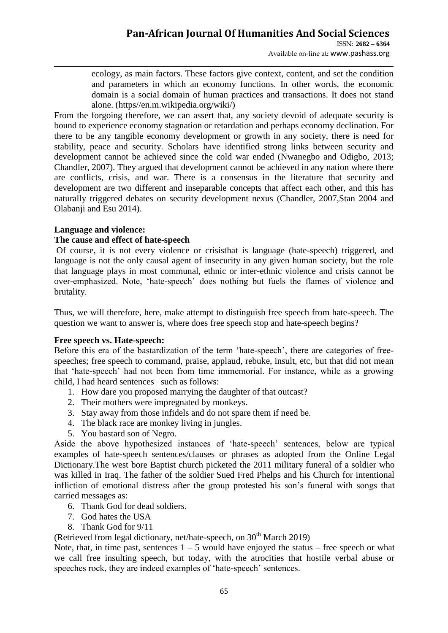Available on-line at**:** www.pashass.org

ecology, as main factors. These factors give context, content, and set the condition and parameters in which an economy functions. In other words, the economic domain is a social domain of human practices and transactions. It does not stand alone. (https//en.m.wikipedia.org/wiki/)

From the forgoing therefore, we can assert that, any society devoid of adequate security is bound to experience economy stagnation or retardation and perhaps economy declination. For there to be any tangible economy development or growth in any society, there is need for stability, peace and security. Scholars have identified strong links between security and development cannot be achieved since the cold war ended (Nwanegbo and Odigbo, 2013; Chandler, 2007). They argued that development cannot be achieved in any nation where there are conflicts, crisis, and war. There is a consensus in the literature that security and development are two different and inseparable concepts that affect each other, and this has naturally triggered debates on security development nexus (Chandler, 2007,Stan 2004 and Olabanji and Esu 2014).

## **Language and violence:**

## **The cause and effect of hate-speech**

Of course, it is not every violence or crisisthat is language (hate-speech) triggered, and language is not the only causal agent of insecurity in any given human society, but the role that language plays in most communal, ethnic or inter-ethnic violence and crisis cannot be over-emphasized. Note, "hate-speech" does nothing but fuels the flames of violence and brutality.

Thus, we will therefore, here, make attempt to distinguish free speech from hate-speech. The question we want to answer is, where does free speech stop and hate-speech begins?

#### **Free speech vs. Hate-speech:**

Before this era of the bastardization of the term 'hate-speech', there are categories of freespeeches; free speech to command, praise, applaud, rebuke, insult, etc, but that did not mean that "hate-speech" had not been from time immemorial. For instance, while as a growing child, I had heard sentences such as follows:

- 1. How dare you proposed marrying the daughter of that outcast?
- 2. Their mothers were impregnated by monkeys.
- 3. Stay away from those infidels and do not spare them if need be.
- 4. The black race are monkey living in jungles.
- 5. You bastard son of Negro.

Aside the above hypothesized instances of "hate-speech" sentences, below are typical examples of hate-speech sentences/clauses or phrases as adopted from the Online Legal Dictionary.The west bore Baptist church picketed the 2011 military funeral of a soldier who was killed in Iraq. The father of the soldier Sued Fred Phelps and his Church for intentional infliction of emotional distress after the group protested his son's funeral with songs that carried messages as:

- 6. Thank God for dead soldiers.
- 7. God hates the USA
- 8. Thank God for 9/11

(Retrieved from legal dictionary, net/hate-speech, on  $30<sup>th</sup>$  March 2019)

Note, that, in time past, sentences  $1 - 5$  would have enjoyed the status – free speech or what we call free insulting speech, but today, with the atrocities that hostile verbal abuse or speeches rock, they are indeed examples of 'hate-speech' sentences.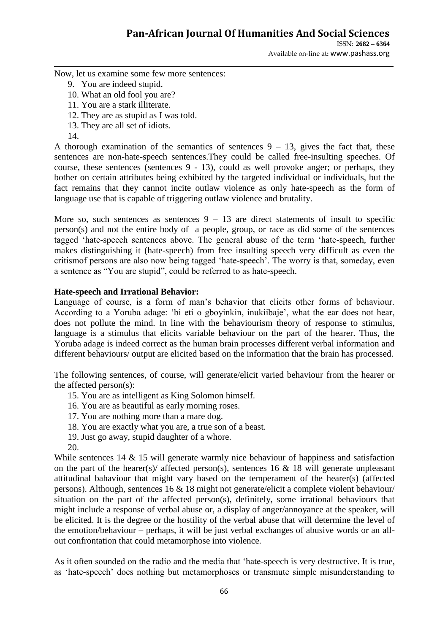Available on-line at**:** www.pashass.org

Now, let us examine some few more sentences:

- 9. You are indeed stupid.
- 10. What an old fool you are?
- 11. You are a stark illiterate.
- 12. They are as stupid as I was told.
- 13. They are all set of idiots.
- 14.

A thorough examination of the semantics of sentences  $9 - 13$ , gives the fact that, these sentences are non-hate-speech sentences.They could be called free-insulting speeches. Of course, these sentences (sentences 9 - 13), could as well provoke anger; or perhaps, they bother on certain attributes being exhibited by the targeted individual or individuals, but the fact remains that they cannot incite outlaw violence as only hate-speech as the form of language use that is capable of triggering outlaw violence and brutality.

More so, such sentences as sentences  $9 - 13$  are direct statements of insult to specific person(s) and not the entire body of a people, group, or race as did some of the sentences tagged "hate-speech sentences above. The general abuse of the term "hate-speech, further makes distinguishing it (hate-speech) from free insulting speech very difficult as even the critismof persons are also now being tagged "hate-speech". The worry is that, someday, even a sentence as "You are stupid", could be referred to as hate-speech.

## **Hate-speech and Irrational Behavior:**

Language of course, is a form of man's behavior that elicits other forms of behaviour. According to a Yoruba adage: "bi eti o gboyinkin, inukiibaje", what the ear does not hear, does not pollute the mind. In line with the behaviourism theory of response to stimulus, language is a stimulus that elicits variable behaviour on the part of the hearer. Thus, the Yoruba adage is indeed correct as the human brain processes different verbal information and different behaviours/ output are elicited based on the information that the brain has processed.

The following sentences, of course, will generate/elicit varied behaviour from the hearer or the affected person(s):

- 15. You are as intelligent as King Solomon himself.
- 16. You are as beautiful as early morning roses.
- 17. You are nothing more than a mare dog.
- 18. You are exactly what you are, a true son of a beast.
- 19. Just go away, stupid daughter of a whore.
- 20.

While sentences 14  $\&$  15 will generate warmly nice behaviour of happiness and satisfaction on the part of the hearer(s)/ affected person(s), sentences 16  $&$  18 will generate unpleasant attitudinal bahaviour that might vary based on the temperament of the hearer(s) (affected persons). Although, sentences 16 & 18 might not generate/elicit a complete violent behaviour/ situation on the part of the affected person(s), definitely, some irrational behaviours that might include a response of verbal abuse or, a display of anger/annoyance at the speaker, will be elicited. It is the degree or the hostility of the verbal abuse that will determine the level of the emotion/behaviour – perhaps, it will be just verbal exchanges of abusive words or an allout confrontation that could metamorphose into violence.

As it often sounded on the radio and the media that "hate-speech is very destructive. It is true, as "hate-speech" does nothing but metamorphoses or transmute simple misunderstanding to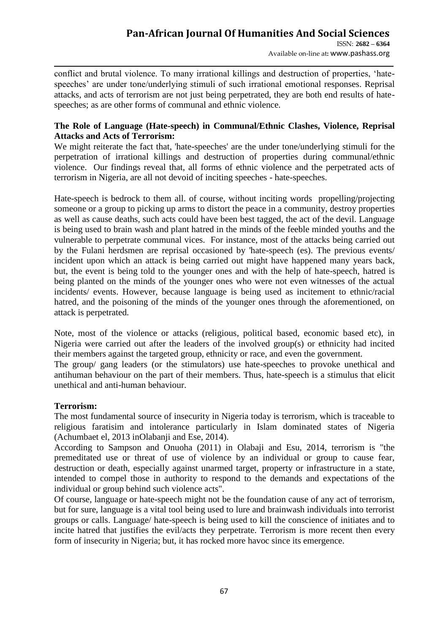conflict and brutal violence. To many irrational killings and destruction of properties, "hatespeeches' are under tone/underlying stimuli of such irrational emotional responses. Reprisal attacks, and acts of terrorism are not just being perpetrated, they are both end results of hatespeeches; as are other forms of communal and ethnic violence.

## **The Role of Language (Hate-speech) in Communal/Ethnic Clashes, Violence, Reprisal Attacks and Acts of Terrorism:**

We might reiterate the fact that, 'hate-speeches' are the under tone/underlying stimuli for the perpetration of irrational killings and destruction of properties during communal/ethnic violence. Our findings reveal that, all forms of ethnic violence and the perpetrated acts of terrorism in Nigeria, are all not devoid of inciting speeches - hate-speeches.

Hate-speech is bedrock to them all. of course, without inciting words propelling/projecting someone or a group to picking up arms to distort the peace in a community, destroy properties as well as cause deaths, such acts could have been best tagged, the act of the devil. Language is being used to brain wash and plant hatred in the minds of the feeble minded youths and the vulnerable to perpetrate communal vices. For instance, most of the attacks being carried out by the Fulani herdsmen are reprisal occasioned by 'hate-speech (es). The previous events/ incident upon which an attack is being carried out might have happened many years back, but, the event is being told to the younger ones and with the help of hate-speech, hatred is being planted on the minds of the younger ones who were not even witnesses of the actual incidents/ events. However, because language is being used as incitement to ethnic/racial hatred, and the poisoning of the minds of the younger ones through the aforementioned, on attack is perpetrated.

Note, most of the violence or attacks (religious, political based, economic based etc), in Nigeria were carried out after the leaders of the involved group(s) or ethnicity had incited their members against the targeted group, ethnicity or race, and even the government.

The group/ gang leaders (or the stimulators) use hate-speeches to provoke unethical and antihuman behaviour on the part of their members. Thus, hate-speech is a stimulus that elicit unethical and anti-human behaviour.

# **Terrorism:**

The most fundamental source of insecurity in Nigeria today is terrorism, which is traceable to religious faratisim and intolerance particularly in Islam dominated states of Nigeria (Achumbaet el, 2013 inOlabanji and Ese, 2014).

According to Sampson and Onuoha (2011) in Olabaji and Esu, 2014, terrorism is "the premeditated use or threat of use of violence by an individual or group to cause fear, destruction or death, especially against unarmed target, property or infrastructure in a state, intended to compel those in authority to respond to the demands and expectations of the individual or group behind such violence acts".

Of course, language or hate-speech might not be the foundation cause of any act of terrorism, but for sure, language is a vital tool being used to lure and brainwash individuals into terrorist groups or calls. Language/ hate-speech is being used to kill the conscience of initiates and to incite hatred that justifies the evil/acts they perpetrate. Terrorism is more recent then every form of insecurity in Nigeria; but, it has rocked more havoc since its emergence.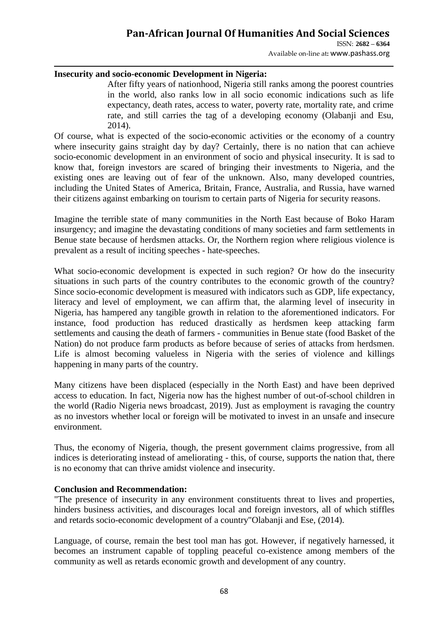# **Pan-African Journal Of Humanities And Social Sciences**

ISSN: **2682 – 6364** Available on-line at**:** www.pashass.org

#### **Insecurity and socio-economic Development in Nigeria:**

After fifty years of nationhood, Nigeria still ranks among the poorest countries in the world, also ranks low in all socio economic indications such as life expectancy, death rates, access to water, poverty rate, mortality rate, and crime rate, and still carries the tag of a developing economy (Olabanji and Esu, 2014).

Of course, what is expected of the socio-economic activities or the economy of a country where insecurity gains straight day by day? Certainly, there is no nation that can achieve socio-economic development in an environment of socio and physical insecurity. It is sad to know that, foreign investors are scared of bringing their investments to Nigeria, and the existing ones are leaving out of fear of the unknown. Also, many developed countries, including the United States of America, Britain, France, Australia, and Russia, have warned their citizens against embarking on tourism to certain parts of Nigeria for security reasons.

Imagine the terrible state of many communities in the North East because of Boko Haram insurgency; and imagine the devastating conditions of many societies and farm settlements in Benue state because of herdsmen attacks. Or, the Northern region where religious violence is prevalent as a result of inciting speeches - hate-speeches.

What socio-economic development is expected in such region? Or how do the insecurity situations in such parts of the country contributes to the economic growth of the country? Since socio-economic development is measured with indicators such as GDP, life expectancy, literacy and level of employment, we can affirm that, the alarming level of insecurity in Nigeria, has hampered any tangible growth in relation to the aforementioned indicators. For instance, food production has reduced drastically as herdsmen keep attacking farm settlements and causing the death of farmers - communities in Benue state (food Basket of the Nation) do not produce farm products as before because of series of attacks from herdsmen. Life is almost becoming valueless in Nigeria with the series of violence and killings happening in many parts of the country.

Many citizens have been displaced (especially in the North East) and have been deprived access to education. In fact, Nigeria now has the highest number of out-of-school children in the world (Radio Nigeria news broadcast, 2019). Just as employment is ravaging the country as no investors whether local or foreign will be motivated to invest in an unsafe and insecure environment.

Thus, the economy of Nigeria, though, the present government claims progressive, from all indices is deteriorating instead of ameliorating - this, of course, supports the nation that, there is no economy that can thrive amidst violence and insecurity.

#### **Conclusion and Recommendation:**

"The presence of insecurity in any environment constituents threat to lives and properties, hinders business activities, and discourages local and foreign investors, all of which stiffles and retards socio-economic development of a country"Olabanji and Ese, (2014).

Language, of course, remain the best tool man has got. However, if negatively harnessed, it becomes an instrument capable of toppling peaceful co-existence among members of the community as well as retards economic growth and development of any country.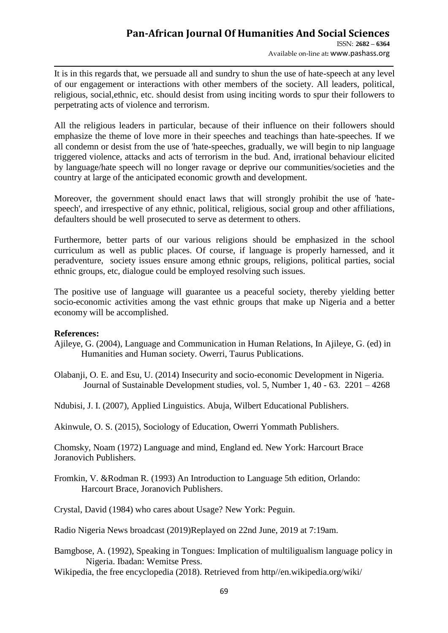It is in this regards that, we persuade all and sundry to shun the use of hate-speech at any level of our engagement or interactions with other members of the society. All leaders, political, religious, social,ethnic, etc. should desist from using inciting words to spur their followers to perpetrating acts of violence and terrorism.

All the religious leaders in particular, because of their influence on their followers should emphasize the theme of love more in their speeches and teachings than hate-speeches. If we all condemn or desist from the use of 'hate-speeches, gradually, we will begin to nip language triggered violence, attacks and acts of terrorism in the bud. And, irrational behaviour elicited by language/hate speech will no longer ravage or deprive our communities/societies and the country at large of the anticipated economic growth and development.

Moreover, the government should enact laws that will strongly prohibit the use of 'hatespeech', and irrespective of any ethnic, political, religious, social group and other affiliations, defaulters should be well prosecuted to serve as determent to others.

Furthermore, better parts of our various religions should be emphasized in the school curriculum as well as public places. Of course, if language is properly harnessed, and it peradventure, society issues ensure among ethnic groups, religions, political parties, social ethnic groups, etc, dialogue could be employed resolving such issues.

The positive use of language will guarantee us a peaceful society, thereby yielding better socio-economic activities among the vast ethnic groups that make up Nigeria and a better economy will be accomplished.

#### **References:**

- Ajileye, G. (2004), Language and Communication in Human Relations, In Ajileye, G. (ed) in Humanities and Human society. Owerri, Taurus Publications.
- Olabanji, O. E. and Esu, U. (2014) Insecurity and socio-economic Development in Nigeria. Journal of Sustainable Development studies, vol. 5, Number 1, 40 - 63. 2201 – 4268

Ndubisi, J. I. (2007), Applied Linguistics. Abuja, Wilbert Educational Publishers.

Akinwule, O. S. (2015), Sociology of Education, Owerri Yommath Publishers.

Chomsky, Noam (1972) Language and mind, England ed. New York: Harcourt Brace Joranovich Publishers.

Fromkin, V. &Rodman R. (1993) An Introduction to Language 5th edition, Orlando: Harcourt Brace, Joranovich Publishers.

Crystal, David (1984) who cares about Usage? New York: Peguin.

Radio Nigeria News broadcast (2019)Replayed on 22nd June, 2019 at 7:19am.

Bamgbose, A. (1992), Speaking in Tongues: Implication of multiligualism language policy in Nigeria. Ibadan: Wemitse Press.

Wikipedia, the free encyclopedia (2018). Retrieved from http//en.wikipedia.org/wiki/